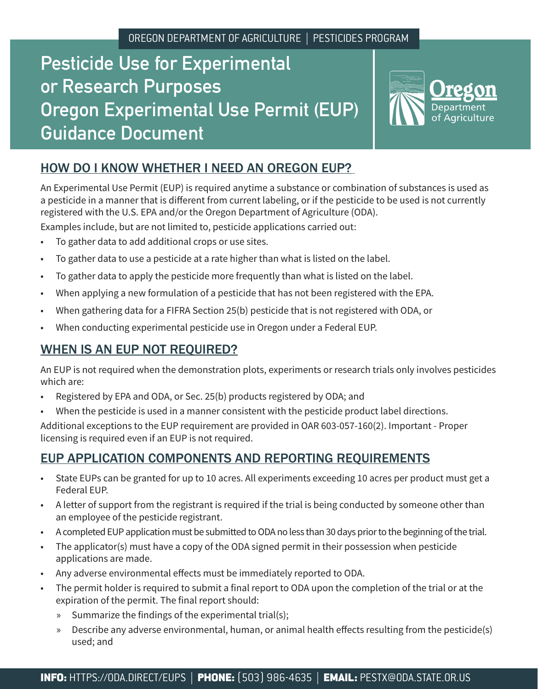# **Pesticide Use for Experimental or Research Purposes Oregon Experimental Use Permit (EUP) Guidance Document**



# HOW DO I KNOW WHETHER I NEED AN OREGON EUP?

An Experimental Use Permit (EUP) is required anytime a substance or combination of substances is used as a pesticide in a manner that is different from current labeling, or if the pesticide to be used is not currently registered with the U.S. EPA and/or the Oregon Department of Agriculture (ODA).

Examples include, but are not limited to, pesticide applications carried out:

- To gather data to add additional crops or use sites.
- To gather data to use a pesticide at a rate higher than what is listed on the label.
- To gather data to apply the pesticide more frequently than what is listed on the label.
- When applying a new formulation of a pesticide that has not been registered with the EPA.
- When gathering data for a FIFRA Section 25(b) pesticide that is not registered with ODA, or
- When conducting experimental pesticide use in Oregon under a Federal EUP.

## WHEN IS AN EUP NOT REQUIRED?

An EUP is not required when the demonstration plots, experiments or research trials only involves pesticides which are:

- Registered by EPA and ODA, or Sec. 25(b) products registered by ODA; and
- When the pesticide is used in a manner consistent with the pesticide product label directions.

Additional exceptions to the EUP requirement are provided in OAR 603-057-160(2). Important - Proper licensing is required even if an EUP is not required.

## EUP APPLICATION COMPONENTS AND REPORTING REQUIREMENTS

- State EUPs can be granted for up to 10 acres. All experiments exceeding 10 acres per product must get a Federal EUP.
- A letter of support from the registrant is required if the trial is being conducted by someone other than an employee of the pesticide registrant.
- A completed EUP application must be submitted to ODA no less than 30 days prior to the beginning of the trial.
- The applicator(s) must have a copy of the ODA signed permit in their possession when pesticide applications are made.
- Any adverse environmental effects must be immediately reported to ODA.
- The permit holder is required to submit a final report to ODA upon the completion of the trial or at the expiration of the permit. The final report should:
	- » Summarize the findings of the experimental trial(s);
	- » Describe any adverse environmental, human, or animal health effects resulting from the pesticide(s) used; and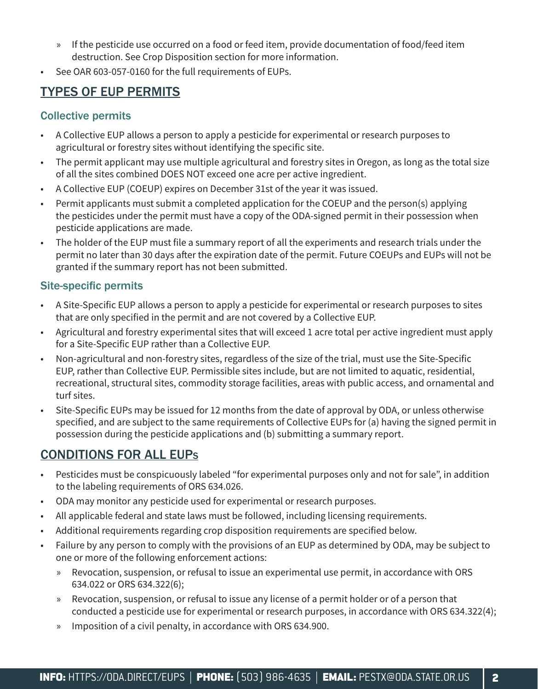- » If the pesticide use occurred on a food or feed item, provide documentation of food/feed item destruction. See Crop Disposition section for more information.
- See OAR 603-057-0160 for the full requirements of EUPs.

# TYPES OF EUP PERMITS

#### Collective permits

- A Collective EUP allows a person to apply a pesticide for experimental or research purposes to agricultural or forestry sites without identifying the specific site.
- The permit applicant may use multiple agricultural and forestry sites in Oregon, as long as the total size of all the sites combined DOES NOT exceed one acre per active ingredient.
- A Collective EUP (COEUP) expires on December 31st of the year it was issued.
- Permit applicants must submit a completed application for the COEUP and the person(s) applying the pesticides under the permit must have a copy of the ODA-signed permit in their possession when pesticide applications are made.
- The holder of the EUP must file a summary report of all the experiments and research trials under the permit no later than 30 days after the expiration date of the permit. Future COEUPs and EUPs will not be granted if the summary report has not been submitted.

#### Site-specific permits

- A Site-Specific EUP allows a person to apply a pesticide for experimental or research purposes to sites that are only specified in the permit and are not covered by a Collective EUP.
- Agricultural and forestry experimental sites that will exceed 1 acre total per active ingredient must apply for a Site-Specific EUP rather than a Collective EUP.
- Non-agricultural and non-forestry sites, regardless of the size of the trial, must use the Site-Specific EUP, rather than Collective EUP. Permissible sites include, but are not limited to aquatic, residential, recreational, structural sites, commodity storage facilities, areas with public access, and ornamental and turf sites.
- Site-Specific EUPs may be issued for 12 months from the date of approval by ODA, or unless otherwise specified, and are subject to the same requirements of Collective EUPs for (a) having the signed permit in possession during the pesticide applications and (b) submitting a summary report.

# CONDITIONS FOR ALL EUP<sup>s</sup>

- Pesticides must be conspicuously labeled "for experimental purposes only and not for sale", in addition to the labeling requirements of ORS 634.026.
- ODA may monitor any pesticide used for experimental or research purposes.
- All applicable federal and state laws must be followed, including licensing requirements.
- Additional requirements regarding crop disposition requirements are specified below.
- Failure by any person to comply with the provisions of an EUP as determined by ODA, may be subject to one or more of the following enforcement actions:
	- » Revocation, suspension, or refusal to issue an experimental use permit, in accordance with ORS 634.022 or ORS 634.322(6);
	- » Revocation, suspension, or refusal to issue any license of a permit holder or of a person that conducted a pesticide use for experimental or research purposes, in accordance with ORS 634.322(4);
	- » Imposition of a civil penalty, in accordance with ORS 634.900.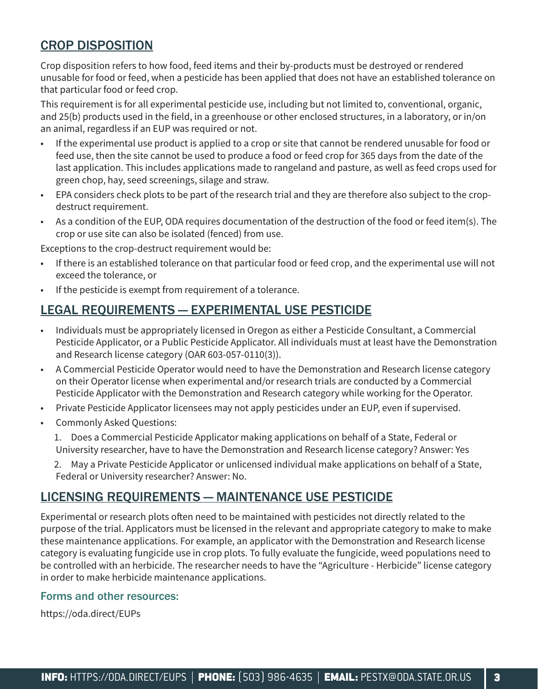## CROP DISPOSITION

Crop disposition refers to how food, feed items and their by-products must be destroyed or rendered unusable for food or feed, when a pesticide has been applied that does not have an established tolerance on that particular food or feed crop.

This requirement is for all experimental pesticide use, including but not limited to, conventional, organic, and 25(b) products used in the field, in a greenhouse or other enclosed structures, in a laboratory, or in/on an animal, regardless if an EUP was required or not.

- If the experimental use product is applied to a crop or site that cannot be rendered unusable for food or feed use, then the site cannot be used to produce a food or feed crop for 365 days from the date of the last application. This includes applications made to rangeland and pasture, as well as feed crops used for green chop, hay, seed screenings, silage and straw.
- EPA considers check plots to be part of the research trial and they are therefore also subject to the cropdestruct requirement.
- As a condition of the EUP, ODA requires documentation of the destruction of the food or feed item(s). The crop or use site can also be isolated (fenced) from use.

Exceptions to the crop-destruct requirement would be:

- If there is an established tolerance on that particular food or feed crop, and the experimental use will not exceed the tolerance, or
- If the pesticide is exempt from requirement of a tolerance.

### LEGAL REQUIREMENTS — EXPERIMENTAL USE PESTICIDE

- Individuals must be appropriately licensed in Oregon as either a Pesticide Consultant, a Commercial Pesticide Applicator, or a Public Pesticide Applicator. All individuals must at least have the Demonstration and Research license category (OAR 603-057-0110(3)).
- A Commercial Pesticide Operator would need to have the Demonstration and Research license category on their Operator license when experimental and/or research trials are conducted by a Commercial Pesticide Applicator with the Demonstration and Research category while working for the Operator.
- Private Pesticide Applicator licensees may not apply pesticides under an EUP, even if supervised.
- Commonly Asked Questions:
	- 1. Does a Commercial Pesticide Applicator making applications on behalf of a State, Federal or University researcher, have to have the Demonstration and Research license category? Answer: Yes
	- 2. May a Private Pesticide Applicator or unlicensed individual make applications on behalf of a State, Federal or University researcher? Answer: No.

#### LICENSING REQUIREMENTS — MAINTENANCE USE PESTICIDE

Experimental or research plots often need to be maintained with pesticides not directly related to the purpose of the trial. Applicators must be licensed in the relevant and appropriate category to make to make these maintenance applications. For example, an applicator with the Demonstration and Research license category is evaluating fungicide use in crop plots. To fully evaluate the fungicide, weed populations need to be controlled with an herbicide. The researcher needs to have the "Agriculture - Herbicide" license category in order to make herbicide maintenance applications.

#### Forms and other resources:

https://oda.direct/EUPs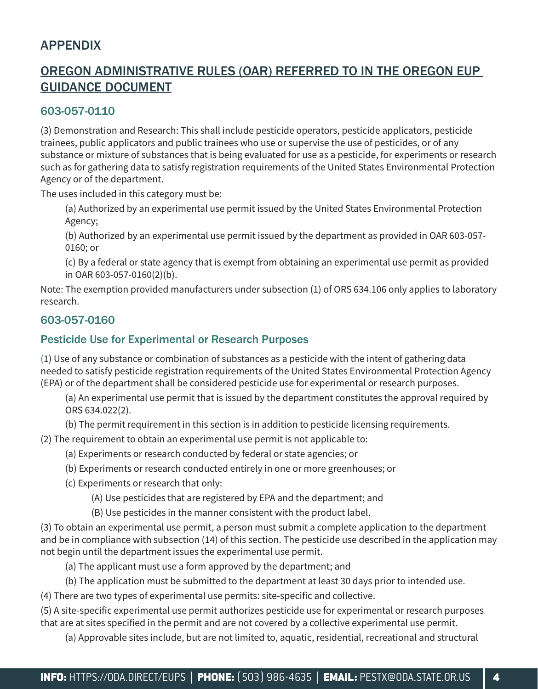## **APPENDIX**

## OREGON ADMINISTRATIVE RULES (OAR) REFERRED TO IN THE OREGON EUP GUIDANCE DOCUMENT

#### 603-057-0110

(3) Demonstration and Research: This shall include pesticide operators, pesticide applicators, pesticide trainees, public applicators and public trainees who use or supervise the use of pesticides, or of any substance or mixture of substances that is being evaluated for use as a pesticide, for experiments or research such as for gathering data to satisfy registration requirements of the United States Environmental Protection Agency or of the department.

The uses included in this category must be:

(a) Authorized by an experimental use permit issued by the United States Environmental Protection Agency;

(b) Authorized by an experimental use permit issued by the department as provided in OAR 603-057- 0160; or

(c) By a federal or state agency that is exempt from obtaining an experimental use permit as provided in OAR 603-057-0160(2)(b).

Note: The exemption provided manufacturers under subsection (1) of ORS 634.106 only applies to laboratory research.

#### 603-057-0160

#### Pesticide Use for Experimental or Research Purposes

(1) Use of any substance or combination of substances as a pesticide with the intent of gathering data needed to satisfy pesticide registration requirements of the United States Environmental Protection Agency (EPA) or of the department shall be considered pesticide use for experimental or research purposes.

(a) An experimental use permit that is issued by the department constitutes the approval required by ORS 634.022(2).

(b) The permit requirement in this section is in addition to pesticide licensing requirements.

(2) The requirement to obtain an experimental use permit is not applicable to:

- (a) Experiments or research conducted by federal or state agencies; or
- (b) Experiments or research conducted entirely in one or more greenhouses; or
- (c) Experiments or research that only:
	- (A) Use pesticides that are registered by EPA and the department; and
	- (B) Use pesticides in the manner consistent with the product label.

(3) To obtain an experimental use permit, a person must submit a complete application to the department and be in compliance with subsection (14) of this section. The pesticide use described in the application may not begin until the department issues the experimental use permit.

- (a) The applicant must use a form approved by the department; and
- (b) The application must be submitted to the department at least 30 days prior to intended use.

(4) There are two types of experimental use permits: site-specific and collective.

(5) A site-specific experimental use permit authorizes pesticide use for experimental or research purposes that are at sites specified in the permit and are not covered by a collective experimental use permit.

(a) Approvable sites include, but are not limited to, aquatic, residential, recreational and structural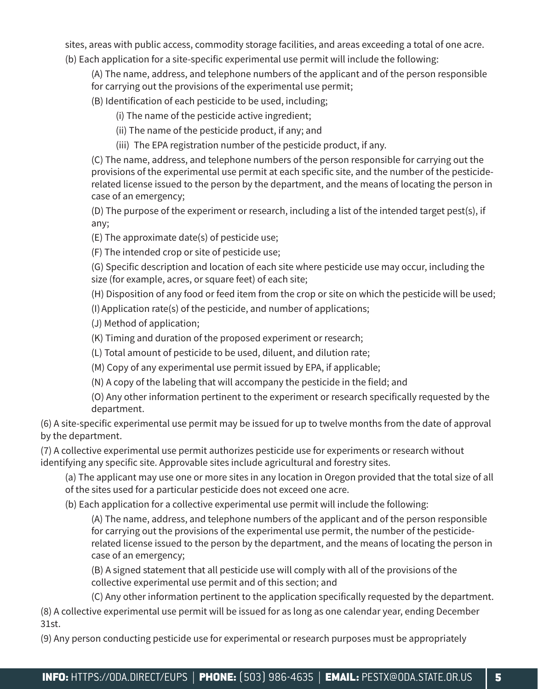sites, areas with public access, commodity storage facilities, and areas exceeding a total of one acre. (b) Each application for a site-specific experimental use permit will include the following:

- (A) The name, address, and telephone numbers of the applicant and of the person responsible
- for carrying out the provisions of the experimental use permit;
- (B) Identification of each pesticide to be used, including;
	- (i) The name of the pesticide active ingredient;
	- (ii) The name of the pesticide product, if any; and
	- (iii) The EPA registration number of the pesticide product, if any.

(C) The name, address, and telephone numbers of the person responsible for carrying out the provisions of the experimental use permit at each specific site, and the number of the pesticiderelated license issued to the person by the department, and the means of locating the person in case of an emergency;

(D) The purpose of the experiment or research, including a list of the intended target pest(s), if any;

(E) The approximate date(s) of pesticide use;

(F) The intended crop or site of pesticide use;

(G) Specific description and location of each site where pesticide use may occur, including the size (for example, acres, or square feet) of each site;

(H) Disposition of any food or feed item from the crop or site on which the pesticide will be used;

(I)Application rate(s) of the pesticide, and number of applications;

- (J) Method of application;
- (K) Timing and duration of the proposed experiment or research;
- (L) Total amount of pesticide to be used, diluent, and dilution rate;
- (M) Copy of any experimental use permit issued by EPA, if applicable;
- (N) A copy of the labeling that will accompany the pesticide in the field; and
- (O) Any other information pertinent to the experiment or research specifically requested by the department.

(6) A site-specific experimental use permit may be issued for up to twelve months from the date of approval by the department.

(7) A collective experimental use permit authorizes pesticide use for experiments or research without identifying any specific site. Approvable sites include agricultural and forestry sites.

(a) The applicant may use one or more sites in any location in Oregon provided that the total size of all of the sites used for a particular pesticide does not exceed one acre.

(b) Each application for a collective experimental use permit will include the following:

(A) The name, address, and telephone numbers of the applicant and of the person responsible for carrying out the provisions of the experimental use permit, the number of the pesticiderelated license issued to the person by the department, and the means of locating the person in case of an emergency;

(B) A signed statement that all pesticide use will comply with all of the provisions of the collective experimental use permit and of this section; and

(C) Any other information pertinent to the application specifically requested by the department.

(8) A collective experimental use permit will be issued for as long as one calendar year, ending December 31st.

(9) Any person conducting pesticide use for experimental or research purposes must be appropriately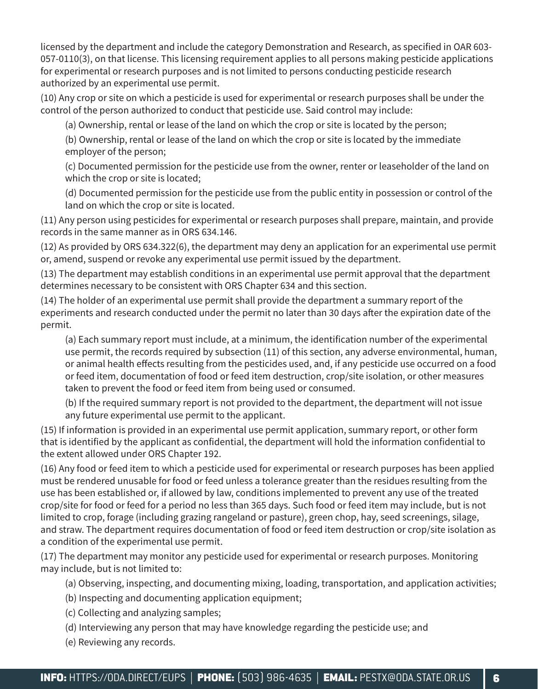licensed by the department and include the category Demonstration and Research, as specified in OAR 603- 057-0110(3), on that license. This licensing requirement applies to all persons making pesticide applications for experimental or research purposes and is not limited to persons conducting pesticide research authorized by an experimental use permit.

(10) Any crop or site on which a pesticide is used for experimental or research purposes shall be under the control of the person authorized to conduct that pesticide use. Said control may include:

(a) Ownership, rental or lease of the land on which the crop or site is located by the person;

(b) Ownership, rental or lease of the land on which the crop or site is located by the immediate employer of the person;

(c) Documented permission for the pesticide use from the owner, renter or leaseholder of the land on which the crop or site is located;

(d) Documented permission for the pesticide use from the public entity in possession or control of the land on which the crop or site is located.

(11) Any person using pesticides for experimental or research purposes shall prepare, maintain, and provide records in the same manner as in ORS 634.146.

(12) As provided by ORS 634.322(6), the department may deny an application for an experimental use permit or, amend, suspend or revoke any experimental use permit issued by the department.

(13) The department may establish conditions in an experimental use permit approval that the department determines necessary to be consistent with ORS Chapter 634 and this section.

(14) The holder of an experimental use permit shall provide the department a summary report of the experiments and research conducted under the permit no later than 30 days after the expiration date of the permit.

(a) Each summary report must include, at a minimum, the identification number of the experimental use permit, the records required by subsection (11) of this section, any adverse environmental, human, or animal health effects resulting from the pesticides used, and, if any pesticide use occurred on a food or feed item, documentation of food or feed item destruction, crop/site isolation, or other measures taken to prevent the food or feed item from being used or consumed.

(b) If the required summary report is not provided to the department, the department will not issue any future experimental use permit to the applicant.

(15) If information is provided in an experimental use permit application, summary report, or other form that is identified by the applicant as confidential, the department will hold the information confidential to the extent allowed under ORS Chapter 192.

(16) Any food or feed item to which a pesticide used for experimental or research purposes has been applied must be rendered unusable for food or feed unless a tolerance greater than the residues resulting from the use has been established or, if allowed by law, conditions implemented to prevent any use of the treated crop/site for food or feed for a period no less than 365 days. Such food or feed item may include, but is not limited to crop, forage (including grazing rangeland or pasture), green chop, hay, seed screenings, silage, and straw. The department requires documentation of food or feed item destruction or crop/site isolation as a condition of the experimental use permit.

(17) The department may monitor any pesticide used for experimental or research purposes. Monitoring may include, but is not limited to:

(a) Observing, inspecting, and documenting mixing, loading, transportation, and application activities;

- (b) Inspecting and documenting application equipment;
- (c) Collecting and analyzing samples;
- (d) Interviewing any person that may have knowledge regarding the pesticide use; and
- (e) Reviewing any records.